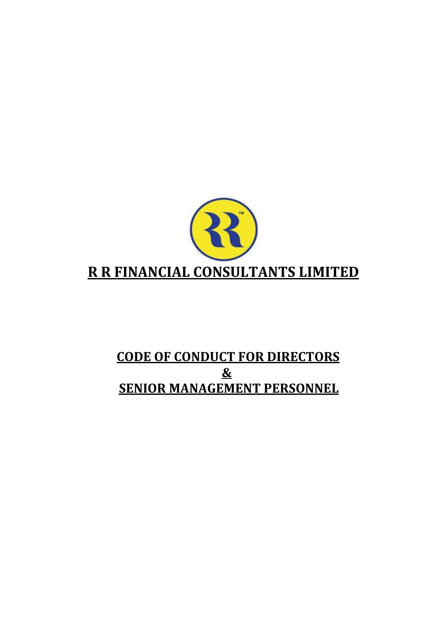

# **CODE OF CONDUCT FOR DIRECTORS & SENIOR MANAGEMENT PERSONNEL**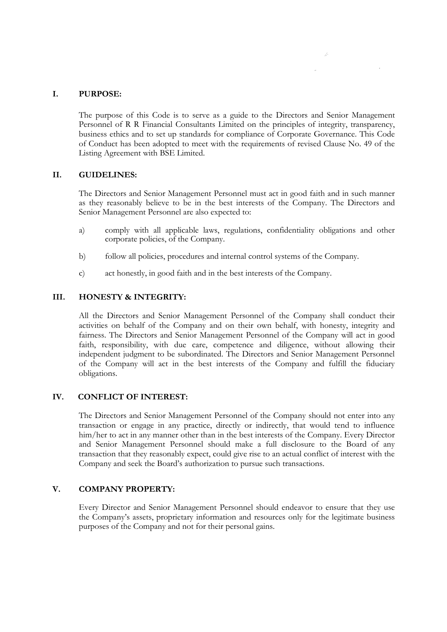# **I. PURPOSE:**

The purpose of this Code is to serve as a guide to the Directors and Senior Management Personnel of R R Financial Consultants Limited on the principles of integrity, transparency, business ethics and to set up standards for compliance of Corporate Governance. This Code of Conduct has been adopted to meet with the requirements of revised Clause No. 49 of the Listing Agreement with BSE Limited.

## **II. GUIDELINES:**

The Directors and Senior Management Personnel must act in good faith and in such manner as they reasonably believe to be in the best interests of the Company. The Directors and Senior Management Personnel are also expected to:

- a) comply with all applicable laws, regulations, confidentiality obligations and other corporate policies, of the Company.
- b) follow all policies, procedures and internal control systems of the Company.
- c) act honestly, in good faith and in the best interests of the Company.

# **III. HONESTY & INTEGRITY:**

All the Directors and Senior Management Personnel of the Company shall conduct their activities on behalf of the Company and on their own behalf, with honesty, integrity and fairness. The Directors and Senior Management Personnel of the Company will act in good faith, responsibility, with due care, competence and diligence, without allowing their independent judgment to be subordinated. The Directors and Senior Management Personnel of the Company will act in the best interests of the Company and fulfill the fiduciary obligations.

## **IV. CONFLICT OF INTEREST:**

The Directors and Senior Management Personnel of the Company should not enter into any transaction or engage in any practice, directly or indirectly, that would tend to influence him/her to act in any manner other than in the best interests of the Company. Every Director and Senior Management Personnel should make a full disclosure to the Board of any transaction that they reasonably expect, could give rise to an actual conflict of interest with the Company and seek the Board's authorization to pursue such transactions.

## **V. COMPANY PROPERTY:**

Every Director and Senior Management Personnel should endeavor to ensure that they use the Company's assets, proprietary information and resources only for the legitimate business purposes of the Company and not for their personal gains.